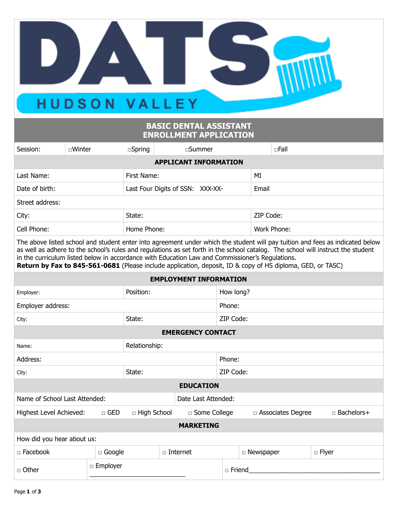## HUDSON VALLEY

▝▁▟

## **BASIC DENTAL ASSISTANT ENROLLMENT APPLICATION**

| Session:                                                                                                                                                                                                                                                                                                                                                                                                                                                                           | □Winter          |                                  | $\square$ Spring   | □Summer            |                |               | $\Box$ Fall      |             |                     |              |              |  |
|------------------------------------------------------------------------------------------------------------------------------------------------------------------------------------------------------------------------------------------------------------------------------------------------------------------------------------------------------------------------------------------------------------------------------------------------------------------------------------|------------------|----------------------------------|--------------------|--------------------|----------------|---------------|------------------|-------------|---------------------|--------------|--------------|--|
| <b>APPLICANT INFORMATION</b>                                                                                                                                                                                                                                                                                                                                                                                                                                                       |                  |                                  |                    |                    |                |               |                  |             |                     |              |              |  |
| Last Name:                                                                                                                                                                                                                                                                                                                                                                                                                                                                         |                  | First Name:                      |                    |                    |                | MI            |                  |             |                     |              |              |  |
| Date of birth:                                                                                                                                                                                                                                                                                                                                                                                                                                                                     |                  | Last Four Digits of SSN: XXX-XX- |                    |                    |                |               | Email            |             |                     |              |              |  |
| Street address:                                                                                                                                                                                                                                                                                                                                                                                                                                                                    |                  |                                  |                    |                    |                |               |                  |             |                     |              |              |  |
| City:                                                                                                                                                                                                                                                                                                                                                                                                                                                                              |                  |                                  | State:             |                    |                |               | ZIP Code:        |             |                     |              |              |  |
| Cell Phone:                                                                                                                                                                                                                                                                                                                                                                                                                                                                        |                  |                                  |                    | Home Phone:        |                |               |                  | Work Phone: |                     |              |              |  |
| The above listed school and student enter into agreement under which the student will pay tuition and fees as indicated below<br>as well as adhere to the school's rules and regulations as set forth in the school catalog. The school will instruct the student<br>in the curriculum listed below in accordance with Education Law and Commissioner's Regulations.<br>Return by Fax to 845-561-0681 (Please include application, deposit, ID & copy of HS diploma, GED, or TASC) |                  |                                  |                    |                    |                |               |                  |             |                     |              |              |  |
| <b>EMPLOYMENT INFORMATION</b>                                                                                                                                                                                                                                                                                                                                                                                                                                                      |                  |                                  |                    |                    |                |               |                  |             |                     |              |              |  |
| Employer:                                                                                                                                                                                                                                                                                                                                                                                                                                                                          |                  | Position:                        |                    |                    | How long?      |               |                  |             |                     |              |              |  |
| Employer address:                                                                                                                                                                                                                                                                                                                                                                                                                                                                  |                  |                                  |                    |                    |                | Phone:        |                  |             |                     |              |              |  |
| City:                                                                                                                                                                                                                                                                                                                                                                                                                                                                              |                  |                                  | State:             |                    |                | ZIP Code:     |                  |             |                     |              |              |  |
| <b>EMERGENCY CONTACT</b>                                                                                                                                                                                                                                                                                                                                                                                                                                                           |                  |                                  |                    |                    |                |               |                  |             |                     |              |              |  |
| Relationship:<br>Name:                                                                                                                                                                                                                                                                                                                                                                                                                                                             |                  |                                  |                    |                    |                |               |                  |             |                     |              |              |  |
| Address:                                                                                                                                                                                                                                                                                                                                                                                                                                                                           |                  |                                  |                    |                    | Phone:         |               |                  |             |                     |              |              |  |
| City:                                                                                                                                                                                                                                                                                                                                                                                                                                                                              |                  |                                  | State:             |                    |                | ZIP Code:     |                  |             |                     |              |              |  |
| <b>EDUCATION</b>                                                                                                                                                                                                                                                                                                                                                                                                                                                                   |                  |                                  |                    |                    |                |               |                  |             |                     |              |              |  |
| Name of School Last Attended:<br>Date Last Attended:                                                                                                                                                                                                                                                                                                                                                                                                                               |                  |                                  |                    |                    |                |               |                  |             |                     |              |              |  |
| Highest Level Achieved:                                                                                                                                                                                                                                                                                                                                                                                                                                                            |                  | $\Box$ GED                       | $\Box$ High School |                    | □ Some College |               |                  |             | □ Associates Degree |              | □ Bachelors+ |  |
| <b>MARKETING</b>                                                                                                                                                                                                                                                                                                                                                                                                                                                                   |                  |                                  |                    |                    |                |               |                  |             |                     |              |              |  |
| How did you hear about us:                                                                                                                                                                                                                                                                                                                                                                                                                                                         |                  |                                  |                    |                    |                |               |                  |             |                     |              |              |  |
| □ Facebook                                                                                                                                                                                                                                                                                                                                                                                                                                                                         | $\square$ Google |                                  |                    | $\square$ Internet |                |               | $\Box$ Newspaper |             |                     | $\Box$ Flyer |              |  |
| $\Box$ Other                                                                                                                                                                                                                                                                                                                                                                                                                                                                       |                  | □ Employer                       |                    |                    |                | $\Box$ Friend |                  |             |                     |              |              |  |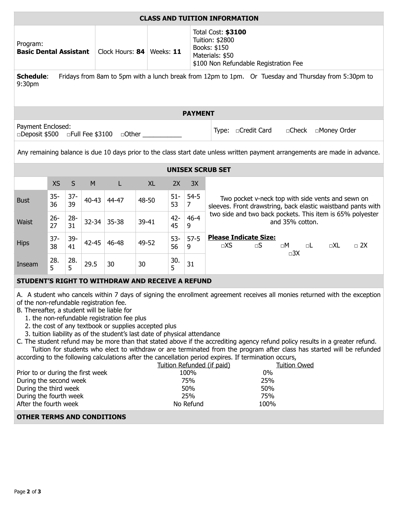| <b>CLASS AND TUITION INFORMATION</b>                                                                                                                                                                                                                                                                                                                                                                                                                                                                                                                                                                                                                                                                                                                                                                                                                                                                                                                                                                                                                       |              |              |                             |               |           |              |                                                                                                                   |                                                                                                                      |  |  |  |  |
|------------------------------------------------------------------------------------------------------------------------------------------------------------------------------------------------------------------------------------------------------------------------------------------------------------------------------------------------------------------------------------------------------------------------------------------------------------------------------------------------------------------------------------------------------------------------------------------------------------------------------------------------------------------------------------------------------------------------------------------------------------------------------------------------------------------------------------------------------------------------------------------------------------------------------------------------------------------------------------------------------------------------------------------------------------|--------------|--------------|-----------------------------|---------------|-----------|--------------|-------------------------------------------------------------------------------------------------------------------|----------------------------------------------------------------------------------------------------------------------|--|--|--|--|
| Program:<br><b>Basic Dental Assistant</b>                                                                                                                                                                                                                                                                                                                                                                                                                                                                                                                                                                                                                                                                                                                                                                                                                                                                                                                                                                                                                  |              |              | Clock Hours: 84   Weeks: 11 |               |           |              | Total Cost: \$3100<br>Tuition: \$2800<br>Books: \$150<br>Materials: \$50<br>\$100 Non Refundable Registration Fee |                                                                                                                      |  |  |  |  |
| Fridays from 8am to 5pm with a lunch break from 12pm to 1pm. Or Tuesday and Thursday from 5:30pm to<br><b>Schedule:</b><br>9:30pm                                                                                                                                                                                                                                                                                                                                                                                                                                                                                                                                                                                                                                                                                                                                                                                                                                                                                                                          |              |              |                             |               |           |              |                                                                                                                   |                                                                                                                      |  |  |  |  |
| <b>PAYMENT</b>                                                                                                                                                                                                                                                                                                                                                                                                                                                                                                                                                                                                                                                                                                                                                                                                                                                                                                                                                                                                                                             |              |              |                             |               |           |              |                                                                                                                   |                                                                                                                      |  |  |  |  |
| Payment Enclosed:<br>□Credit Card<br>$\Box$ Check<br>□Money Order<br>Type:<br>□Deposit \$500<br>$\Box$ Full Fee \$3100<br>$\Box$ Other                                                                                                                                                                                                                                                                                                                                                                                                                                                                                                                                                                                                                                                                                                                                                                                                                                                                                                                     |              |              |                             |               |           |              |                                                                                                                   |                                                                                                                      |  |  |  |  |
| Any remaining balance is due 10 days prior to the class start date unless written payment arrangements are made in advance.                                                                                                                                                                                                                                                                                                                                                                                                                                                                                                                                                                                                                                                                                                                                                                                                                                                                                                                                |              |              |                             |               |           |              |                                                                                                                   |                                                                                                                      |  |  |  |  |
| <b>UNISEX SCRUB SET</b>                                                                                                                                                                                                                                                                                                                                                                                                                                                                                                                                                                                                                                                                                                                                                                                                                                                                                                                                                                                                                                    |              |              |                             |               |           |              |                                                                                                                   |                                                                                                                      |  |  |  |  |
|                                                                                                                                                                                                                                                                                                                                                                                                                                                                                                                                                                                                                                                                                                                                                                                                                                                                                                                                                                                                                                                            | <b>XS</b>    | $\sf S$      | M                           | L             | <b>XL</b> | 2X           | 3X                                                                                                                |                                                                                                                      |  |  |  |  |
| <b>Bust</b>                                                                                                                                                                                                                                                                                                                                                                                                                                                                                                                                                                                                                                                                                                                                                                                                                                                                                                                                                                                                                                                | $35 -$<br>36 | $37 -$<br>39 |                             | $40-43$ 44-47 | 48-50     | $51-$<br>53  | $54-5$<br>$\overline{7}$                                                                                          | Two pocket v-neck top with side vents and sewn on<br>sleeves. Front drawstring, back elastic waistband pants with    |  |  |  |  |
| <b>Waist</b>                                                                                                                                                                                                                                                                                                                                                                                                                                                                                                                                                                                                                                                                                                                                                                                                                                                                                                                                                                                                                                               | $26 -$<br>27 | $28 -$<br>31 |                             | 32-34 35-38   | 39-41     | $42 -$<br>45 | $46 - 4$<br>9                                                                                                     | two side and two back pockets. This item is 65% polyester<br>and 35% cotton.                                         |  |  |  |  |
| <b>Hips</b>                                                                                                                                                                                                                                                                                                                                                                                                                                                                                                                                                                                                                                                                                                                                                                                                                                                                                                                                                                                                                                                | $37 -$<br>38 | 39-<br>41    | $42 - 45$                   | 46-48         | 49-52     | $53 -$<br>56 | $57-5$<br>9                                                                                                       | <b>Please Indicate Size:</b><br>$\Box$ XS<br>$\Box S$<br>$\square M$<br>$\Box$ 2X<br>oL<br>$\Box XL$<br>$\square 3X$ |  |  |  |  |
| Inseam                                                                                                                                                                                                                                                                                                                                                                                                                                                                                                                                                                                                                                                                                                                                                                                                                                                                                                                                                                                                                                                     | 28.<br>5     | 28.<br>5     | 29.5                        | 30            | 30        | 30.<br>5     | 31                                                                                                                |                                                                                                                      |  |  |  |  |
| STUDENT'S RIGHT TO WITHDRAW AND RECEIVE A REFUND                                                                                                                                                                                                                                                                                                                                                                                                                                                                                                                                                                                                                                                                                                                                                                                                                                                                                                                                                                                                           |              |              |                             |               |           |              |                                                                                                                   |                                                                                                                      |  |  |  |  |
| A. A student who cancels within 7 days of signing the enrollment agreement receives all monies returned with the exception<br>of the non-refundable registration fee.<br>B. Thereafter, a student will be liable for<br>1. the non-refundable registration fee plus<br>2. the cost of any textbook or supplies accepted plus<br>3. tuition liability as of the student's last date of physical attendance<br>C. The student refund may be more than that stated above if the accrediting agency refund policy results in a greater refund.<br>Tuition for students who elect to withdraw or are terminated from the program after class has started will be refunded<br>according to the following calculations after the cancellation period expires. If termination occurs,<br>Tuition Refunded (if paid)<br><b>Tuition Owed</b><br>0%<br>100%<br>Prior to or during the first week<br>75%<br>25%<br>During the second week<br>During the third week<br>50%<br>50%<br>25%<br>During the fourth week<br>75%<br>After the fourth week<br>No Refund<br>100% |              |              |                             |               |           |              |                                                                                                                   |                                                                                                                      |  |  |  |  |
| <b>OTHER TERMS AND CONDITIONS</b>                                                                                                                                                                                                                                                                                                                                                                                                                                                                                                                                                                                                                                                                                                                                                                                                                                                                                                                                                                                                                          |              |              |                             |               |           |              |                                                                                                                   |                                                                                                                      |  |  |  |  |
|                                                                                                                                                                                                                                                                                                                                                                                                                                                                                                                                                                                                                                                                                                                                                                                                                                                                                                                                                                                                                                                            |              |              |                             |               |           |              |                                                                                                                   |                                                                                                                      |  |  |  |  |